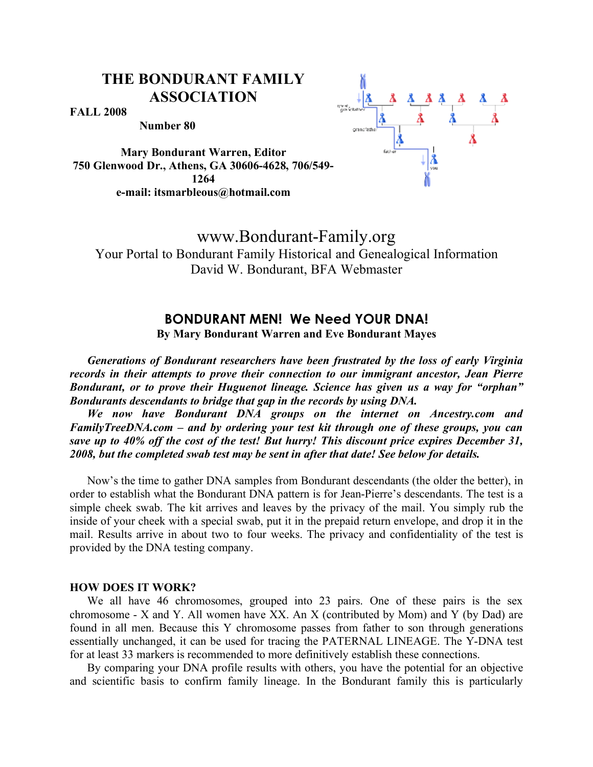**FALL 2008** 

**Number 80**

**Mary Bondurant Warren, Editor 1264 e-mail: itsmarbleous@hotmail.com**



# www.Bondurant-Family.org

Your Portal to Bondurant Family Historical and Genealogical Information David W. Bondurant, BFA Webmaster

## **BONDURANT MEN! We Need YOUR DNA!**

**By Mary Bondurant Warren and Eve Bondurant Mayes**

*Generations of Bondurant researchers have been frustrated by the loss of early Virginia records in their attempts to prove their connection to our immigrant ancestor, Jean Pierre Bondurant, or to prove their Huguenot lineage. Science has given us a way for "orphan" Bondurants descendants to bridge that gap in the records by using DNA.* 

*We now have Bondurant DNA groups on the internet on Ancestry.com and FamilyTreeDNA.com – and by ordering your test kit through one of these groups, you can save up to 40% off the cost of the test! But hurry! This discount price expires December 31, 2008, but the completed swab test may be sent in after that date! See below for details.*

Now's the time to gather DNA samples from Bondurant descendants (the older the better), in order to establish what the Bondurant DNA pattern is for Jean-Pierre's descendants. The test is a simple cheek swab. The kit arrives and leaves by the privacy of the mail. You simply rub the inside of your cheek with a special swab, put it in the prepaid return envelope, and drop it in the mail. Results arrive in about two to four weeks. The privacy and confidentiality of the test is provided by the DNA testing company.

#### **HOW DOES IT WORK?**

We all have 46 chromosomes, grouped into 23 pairs. One of these pairs is the sex chromosome - X and Y. All women have XX. An X (contributed by Mom) and Y (by Dad) are found in all men. Because this Y chromosome passes from father to son through generations essentially unchanged, it can be used for tracing the PATERNAL LINEAGE. The Y-DNA test for at least 33 markers is recommended to more definitively establish these connections.

By comparing your DNA profile results with others, you have the potential for an objective and scientific basis to confirm family lineage. In the Bondurant family this is particularly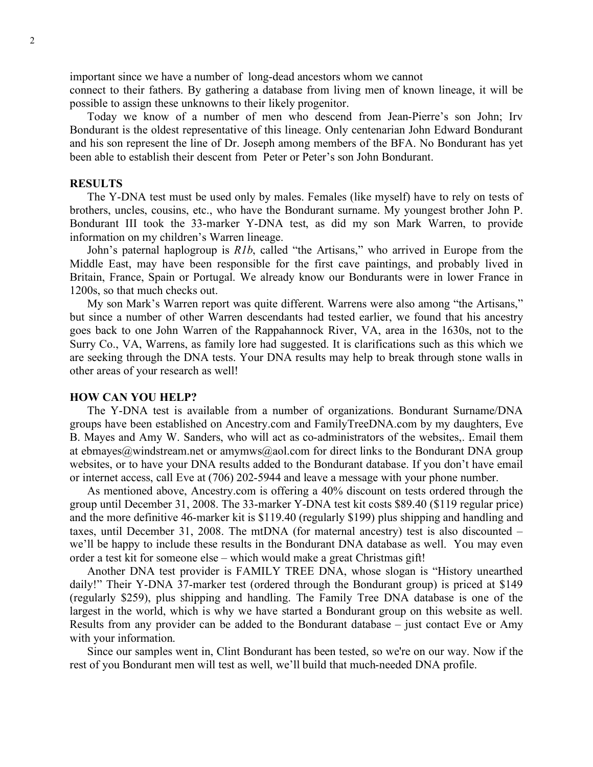important since we have a number of long-dead ancestors whom we cannot

connect to their fathers. By gathering a database from living men of known lineage, it will be possible to assign these unknowns to their likely progenitor.

Today we know of a number of men who descend from Jean-Pierre's son John; Irv Bondurant is the oldest representative of this lineage. Only centenarian John Edward Bondurant and his son represent the line of Dr. Joseph among members of the BFA. No Bondurant has yet been able to establish their descent from Peter or Peter's son John Bondurant.

#### **RESULTS**

The Y-DNA test must be used only by males. Females (like myself) have to rely on tests of brothers, uncles, cousins, etc., who have the Bondurant surname. My youngest brother John P. Bondurant III took the 33-marker Y-DNA test, as did my son Mark Warren, to provide information on my children's Warren lineage.

John's paternal haplogroup is *R1b*, called "the Artisans," who arrived in Europe from the Middle East, may have been responsible for the first cave paintings, and probably lived in Britain, France, Spain or Portugal. We already know our Bondurants were in lower France in 1200s, so that much checks out.

My son Mark's Warren report was quite different. Warrens were also among "the Artisans," but since a number of other Warren descendants had tested earlier, we found that his ancestry goes back to one John Warren of the Rappahannock River, VA, area in the 1630s, not to the Surry Co., VA, Warrens, as family lore had suggested. It is clarifications such as this which we are seeking through the DNA tests. Your DNA results may help to break through stone walls in other areas of your research as well!

#### **HOW CAN YOU HELP?**

The Y-DNA test is available from a number of organizations. Bondurant Surname/DNA groups have been established on Ancestry.com and FamilyTreeDNA.com by my daughters, Eve B. Mayes and Amy W. Sanders, who will act as co-administrators of the websites,. Email them at ebmayes@windstream.net or amymws@aol.com for direct links to the Bondurant DNA group websites, or to have your DNA results added to the Bondurant database. If you don't have email or internet access, call Eve at (706) 202-5944 and leave a message with your phone number.

As mentioned above, Ancestry.com is offering a 40% discount on tests ordered through the group until December 31, 2008. The 33-marker Y-DNA test kit costs \$89.40 (\$119 regular price) and the more definitive 46-marker kit is \$119.40 (regularly \$199) plus shipping and handling and taxes, until December 31, 2008. The mtDNA (for maternal ancestry) test is also discounted – we'll be happy to include these results in the Bondurant DNA database as well. You may even order a test kit for someone else – which would make a great Christmas gift!

Another DNA test provider is FAMILY TREE DNA, whose slogan is "History unearthed daily!" Their Y-DNA 37-marker test (ordered through the Bondurant group) is priced at \$149 (regularly \$259), plus shipping and handling. The Family Tree DNA database is one of the largest in the world, which is why we have started a Bondurant group on this website as well. Results from any provider can be added to the Bondurant database – just contact Eve or Amy with your information.

Since our samples went in, Clint Bondurant has been tested, so we're on our way. Now if the rest of you Bondurant men will test as well, we'll build that much-needed DNA profile.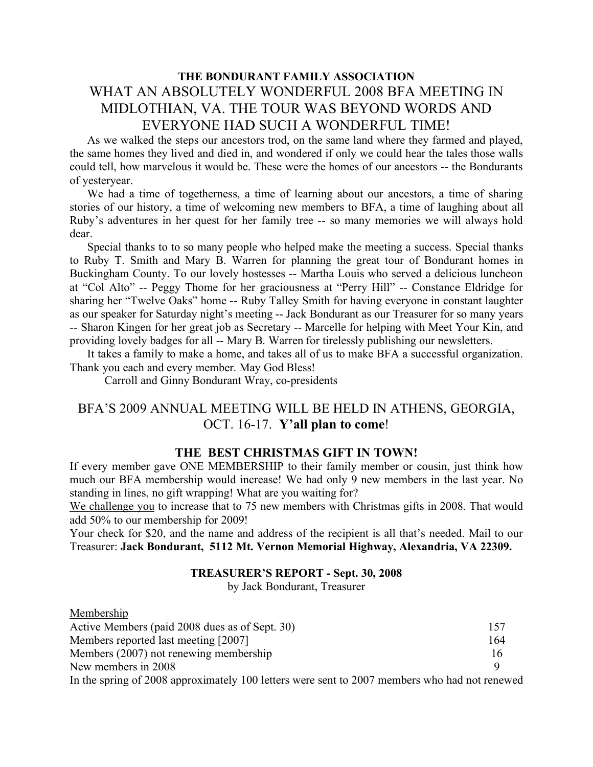## **THE BONDURANT FAMILY ASSOCIATION** WHAT AN ABSOLUTELY WONDERFUL 2008 BFA MEETING IN MIDLOTHIAN, VA. THE TOUR WAS BEYOND WORDS AND EVERYONE HAD SUCH A WONDERFUL TIME!

As we walked the steps our ancestors trod, on the same land where they farmed and played, the same homes they lived and died in, and wondered if only we could hear the tales those walls could tell, how marvelous it would be. These were the homes of our ancestors -- the Bondurants of yesteryear.

We had a time of togetherness, a time of learning about our ancestors, a time of sharing stories of our history, a time of welcoming new members to BFA, a time of laughing about all Ruby's adventures in her quest for her family tree -- so many memories we will always hold dear.

Special thanks to to so many people who helped make the meeting a success. Special thanks to Ruby T. Smith and Mary B. Warren for planning the great tour of Bondurant homes in Buckingham County. To our lovely hostesses -- Martha Louis who served a delicious luncheon at "Col Alto" -- Peggy Thome for her graciousness at "Perry Hill" -- Constance Eldridge for sharing her "Twelve Oaks" home -- Ruby Talley Smith for having everyone in constant laughter as our speaker for Saturday night's meeting -- Jack Bondurant as our Treasurer for so many years -- Sharon Kingen for her great job as Secretary -- Marcelle for helping with Meet Your Kin, and providing lovely badges for all -- Mary B. Warren for tirelessly publishing our newsletters.

It takes a family to make a home, and takes all of us to make BFA a successful organization. Thank you each and every member. May God Bless!

Carroll and Ginny Bondurant Wray, co-presidents

## BFA'S 2009 ANNUAL MEETING WILL BE HELD IN ATHENS, GEORGIA, OCT. 16-17. **Y'all plan to come**!

### **THE BEST CHRISTMAS GIFT IN TOWN!**

If every member gave ONE MEMBERSHIP to their family member or cousin, just think how much our BFA membership would increase! We had only 9 new members in the last year. No standing in lines, no gift wrapping! What are you waiting for?

We challenge you to increase that to 75 new members with Christmas gifts in 2008. That would add 50% to our membership for 2009!

Your check for \$20, and the name and address of the recipient is all that's needed. Mail to our Treasurer: **Jack Bondurant, 5112 Mt. Vernon Memorial Highway, Alexandria, VA 22309.**

#### **TREASURER'S REPORT - Sept. 30, 2008**

by Jack Bondurant, Treasurer

| Membership                                                                                                                                                                                                                                                                                                                         |                                      |     |
|------------------------------------------------------------------------------------------------------------------------------------------------------------------------------------------------------------------------------------------------------------------------------------------------------------------------------------|--------------------------------------|-----|
| Active Members (paid 2008 dues as of Sept. 30)                                                                                                                                                                                                                                                                                     |                                      | 157 |
| Members reported last meeting [2007]                                                                                                                                                                                                                                                                                               |                                      | 164 |
| Members (2007) not renewing membership                                                                                                                                                                                                                                                                                             |                                      | 16  |
| New members in 2008                                                                                                                                                                                                                                                                                                                |                                      | Q   |
| $\mathbf{r}$ $\mathbf{r}$ $\mathbf{r}$ $\mathbf{r}$ $\mathbf{r}$ $\mathbf{r}$ $\mathbf{r}$ $\mathbf{r}$ $\mathbf{r}$ $\mathbf{r}$ $\mathbf{r}$ $\mathbf{r}$ $\mathbf{r}$ $\mathbf{r}$ $\mathbf{r}$ $\mathbf{r}$ $\mathbf{r}$ $\mathbf{r}$ $\mathbf{r}$ $\mathbf{r}$ $\mathbf{r}$ $\mathbf{r}$ $\mathbf{r}$ $\mathbf{r}$ $\mathbf{$ | $\cdots$ $\sim$ $\sim$ $\sim$ $\sim$ |     |

In the spring of 2008 approximately 100 letters were sent to 2007 members who had not renewed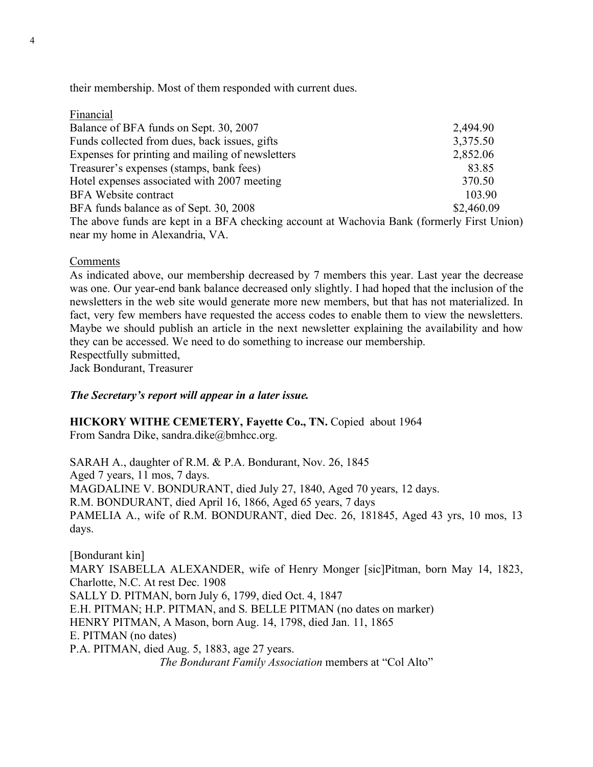their membership. Most of them responded with current dues.

| Financial                                                                                  |            |
|--------------------------------------------------------------------------------------------|------------|
| Balance of BFA funds on Sept. 30, 2007                                                     | 2,494.90   |
| Funds collected from dues, back issues, gifts                                              | 3,375.50   |
| Expenses for printing and mailing of newsletters                                           | 2,852.06   |
| Treasurer's expenses (stamps, bank fees)                                                   | 83.85      |
| Hotel expenses associated with 2007 meeting                                                | 370.50     |
| <b>BFA</b> Website contract                                                                | 103.90     |
| BFA funds balance as of Sept. 30, 2008                                                     | \$2,460.09 |
| The above funds are kept in a BFA checking account at Wachovia Bank (formerly First Union) |            |
| near my home in Alexandria, VA.                                                            |            |

### Comments

As indicated above, our membership decreased by 7 members this year. Last year the decrease was one. Our year-end bank balance decreased only slightly. I had hoped that the inclusion of the newsletters in the web site would generate more new members, but that has not materialized. In fact, very few members have requested the access codes to enable them to view the newsletters. Maybe we should publish an article in the next newsletter explaining the availability and how they can be accessed. We need to do something to increase our membership. Respectfully submitted,

Jack Bondurant, Treasurer

### *The Secretary's report will appear in a later issue.*

### **HICKORY WITHE CEMETERY, Fayette Co., TN.** Copied about 1964

From Sandra Dike, sandra.dike@bmhcc.org.

SARAH A., daughter of R.M. & P.A. Bondurant, Nov. 26, 1845 Aged 7 years, 11 mos, 7 days. MAGDALINE V. BONDURANT, died July 27, 1840, Aged 70 years, 12 days. R.M. BONDURANT, died April 16, 1866, Aged 65 years, 7 days PAMELIA A., wife of R.M. BONDURANT, died Dec. 26, 181845, Aged 43 yrs, 10 mos, 13 days.

[Bondurant kin] MARY ISABELLA ALEXANDER, wife of Henry Monger [sic]Pitman, born May 14, 1823, Charlotte, N.C. At rest Dec. 1908 SALLY D. PITMAN, born July 6, 1799, died Oct. 4, 1847 E.H. PITMAN; H.P. PITMAN, and S. BELLE PITMAN (no dates on marker) HENRY PITMAN, A Mason, born Aug. 14, 1798, died Jan. 11, 1865 E. PITMAN (no dates) P.A. PITMAN, died Aug. 5, 1883, age 27 years. *The Bondurant Family Association* members at "Col Alto"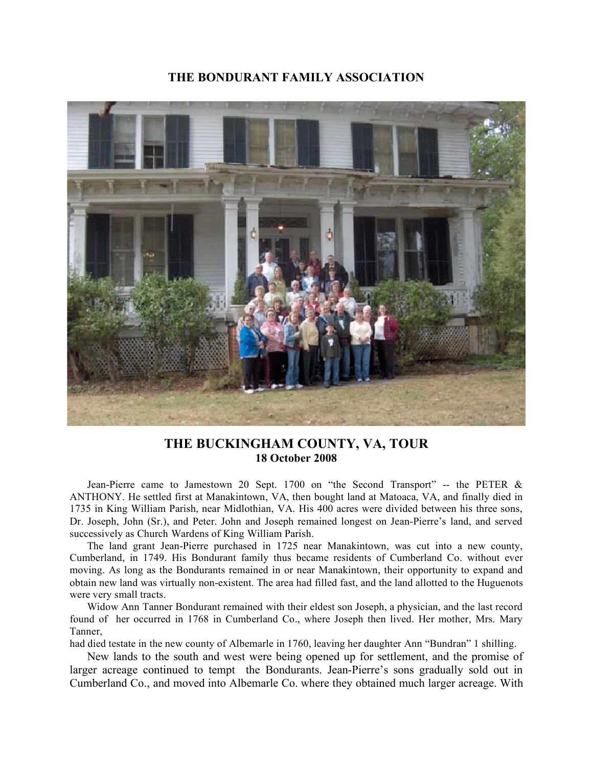

## **THE BUCKINGHAM COUNTY, VA, TOUR 18 October 2008**

Jean-Pierre came to Jamestown 20 Sept. 1700 on "the Second Transport" -- the PETER & ANTHONY. He settled first at Manakintown, VA, then bought land at Matoaca, VA, and finally died in 1735 in King William Parish, near Midlothian, VA. His 400 acres were divided between his three sons, Dr. Joseph, John (Sr.), and Peter. John and Joseph remained longest on Jean-Pierre's land, and served successively as Church Wardens of King William Parish.

The land grant Jean-Pierre purchased in 1725 near Manakintown, was cut into a new county, Cumberland, in 1749. His Bondurant family thus became residents of Cumberland Co. without ever moving. As long as the Bondurants remained in or near Manakintown, their opportunity to expand and obtain new land was virtually non-existent. The area had filled fast, and the land allotted to the Huguenots were very small tracts.

Widow Ann Tanner Bondurant remained with their eldest son Joseph, a physician, and the last record found of her occurred in 1768 in Cumberland Co., where Joseph then lived. Her mother, Mrs. Mary Tanner,

had died testate in the new county of Albemarle in 1760, leaving her daughter Ann "Bundran" 1 shilling.

New lands to the south and west were being opened up for settlement, and the promise of larger acreage continued to tempt the Bondurants. Jean-Pierre's sons gradually sold out in Cumberland Co., and moved into Albemarle Co. where they obtained much larger acreage. With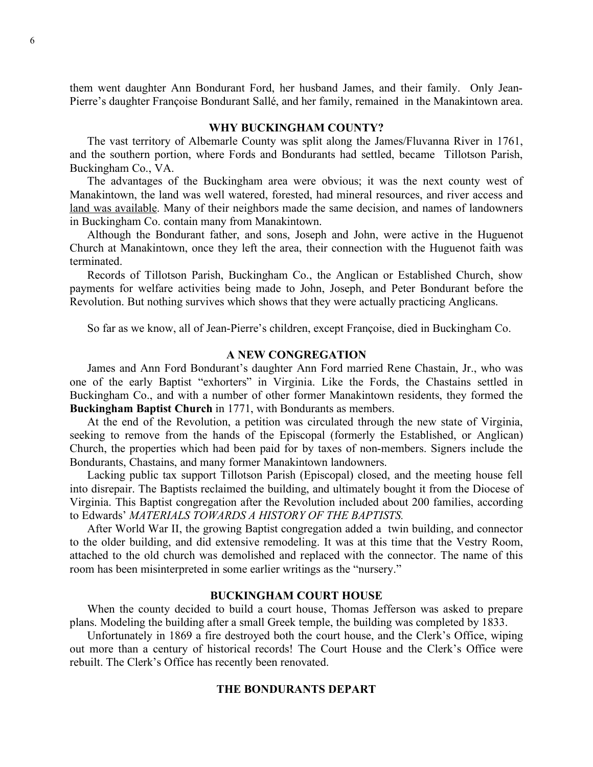them went daughter Ann Bondurant Ford, her husband James, and their family. Only Jean-Pierre's daughter Françoise Bondurant Sallé, and her family, remained in the Manakintown area.

#### **WHY BUCKINGHAM COUNTY?**

The vast territory of Albemarle County was split along the James/Fluvanna River in 1761, and the southern portion, where Fords and Bondurants had settled, became Tillotson Parish, Buckingham Co., VA.

The advantages of the Buckingham area were obvious; it was the next county west of Manakintown, the land was well watered, forested, had mineral resources, and river access and land was available. Many of their neighbors made the same decision, and names of landowners in Buckingham Co. contain many from Manakintown.

Although the Bondurant father, and sons, Joseph and John, were active in the Huguenot Church at Manakintown, once they left the area, their connection with the Huguenot faith was terminated.

Records of Tillotson Parish, Buckingham Co., the Anglican or Established Church, show payments for welfare activities being made to John, Joseph, and Peter Bondurant before the Revolution. But nothing survives which shows that they were actually practicing Anglicans.

So far as we know, all of Jean-Pierre's children, except Françoise, died in Buckingham Co.

#### **A NEW CONGREGATION**

James and Ann Ford Bondurant's daughter Ann Ford married Rene Chastain, Jr., who was one of the early Baptist "exhorters" in Virginia. Like the Fords, the Chastains settled in Buckingham Co., and with a number of other former Manakintown residents, they formed the **Buckingham Baptist Church** in 1771, with Bondurants as members.

At the end of the Revolution, a petition was circulated through the new state of Virginia, seeking to remove from the hands of the Episcopal (formerly the Established, or Anglican) Church, the properties which had been paid for by taxes of non-members. Signers include the Bondurants, Chastains, and many former Manakintown landowners.

Lacking public tax support Tillotson Parish (Episcopal) closed, and the meeting house fell into disrepair. The Baptists reclaimed the building, and ultimately bought it from the Diocese of Virginia. This Baptist congregation after the Revolution included about 200 families, according to Edwards' *MATERIALS TOWARDS A HISTORY OF THE BAPTISTS.* 

After World War II, the growing Baptist congregation added a twin building, and connector to the older building, and did extensive remodeling. It was at this time that the Vestry Room, attached to the old church was demolished and replaced with the connector. The name of this room has been misinterpreted in some earlier writings as the "nursery."

#### **BUCKINGHAM COURT HOUSE**

When the county decided to build a court house, Thomas Jefferson was asked to prepare plans. Modeling the building after a small Greek temple, the building was completed by 1833.

Unfortunately in 1869 a fire destroyed both the court house, and the Clerk's Office, wiping out more than a century of historical records! The Court House and the Clerk's Office were rebuilt. The Clerk's Office has recently been renovated.

#### **THE BONDURANTS DEPART**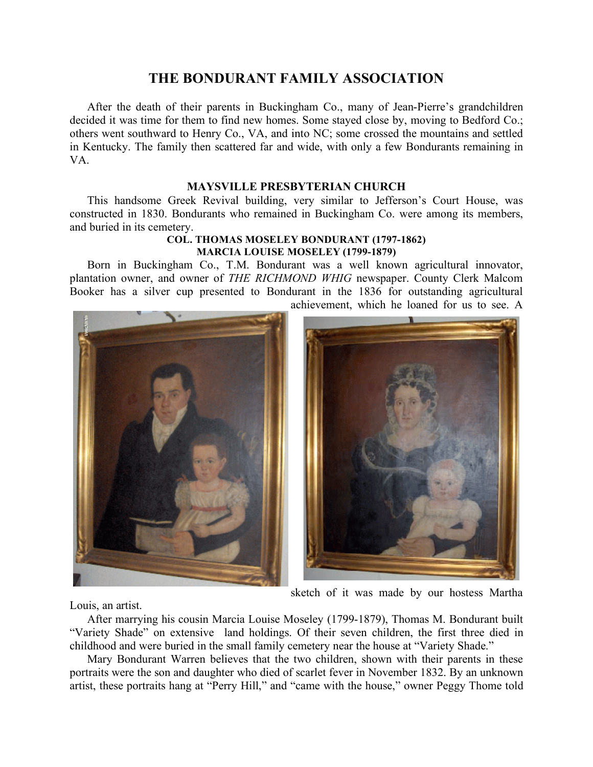After the death of their parents in Buckingham Co., many of Jean-Pierre's grandchildren decided it was time for them to find new homes. Some stayed close by, moving to Bedford Co.; others went southward to Henry Co., VA, and into NC; some crossed the mountains and settled in Kentucky. The family then scattered far and wide, with only a few Bondurants remaining in VA.

### **MAYSVILLE PRESBYTERIAN CHURCH**

This handsome Greek Revival building, very similar to Jefferson's Court House, was constructed in 1830. Bondurants who remained in Buckingham Co. were among its members, and buried in its cemetery.

#### **COL. THOMAS MOSELEY BONDURANT (1797-1862) MARCIA LOUISE MOSELEY (1799-1879)**

Born in Buckingham Co., T.M. Bondurant was a well known agricultural innovator, plantation owner, and owner of *THE RICHMOND WHIG* newspaper. County Clerk Malcom Booker has a silver cup presented to Bondurant in the 1836 for outstanding agricultural achievement, which he loaned for us to see. A



sketch of it was made by our hostess Martha

Louis, an artist.

After marrying his cousin Marcia Louise Moseley (1799-1879), Thomas M. Bondurant built "Variety Shade" on extensive land holdings. Of their seven children, the first three died in childhood and were buried in the small family cemetery near the house at "Variety Shade."

Mary Bondurant Warren believes that the two children, shown with their parents in these portraits were the son and daughter who died of scarlet fever in November 1832. By an unknown artist, these portraits hang at "Perry Hill," and "came with the house," owner Peggy Thome told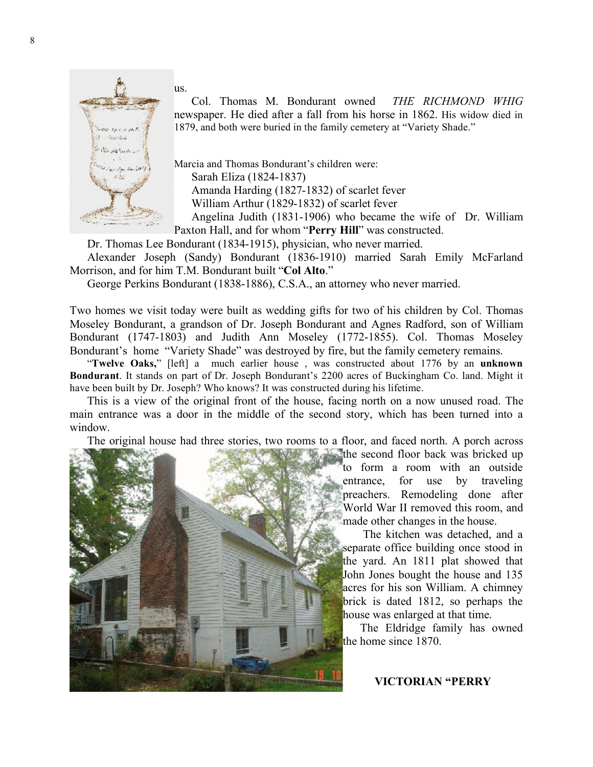

us.

Col. Thomas M. Bondurant owned *THE RICHMOND WHIG* newspaper. He died after a fall from his horse in 1862. His widow died in 1879, and both were buried in the family cemetery at "Variety Shade."

Marcia and Thomas Bondurant's children were:

Sarah Eliza (1824-1837)

Amanda Harding (1827-1832) of scarlet fever

William Arthur (1829-1832) of scarlet fever

Angelina Judith (1831-1906) who became the wife of Dr. William Paxton Hall, and for whom "**Perry Hill**" was constructed.

Dr. Thomas Lee Bondurant (1834-1915), physician, who never married.

Alexander Joseph (Sandy) Bondurant (1836-1910) married Sarah Emily McFarland Morrison, and for him T.M. Bondurant built "**Col Alto**."

George Perkins Bondurant (1838-1886), C.S.A., an attorney who never married.

Two homes we visit today were built as wedding gifts for two of his children by Col. Thomas Moseley Bondurant, a grandson of Dr. Joseph Bondurant and Agnes Radford, son of William Bondurant (1747-1803) and Judith Ann Moseley (1772-1855). Col. Thomas Moseley Bondurant's home "Variety Shade" was destroyed by fire, but the family cemetery remains.

"**Twelve Oaks,**" [left] a much earlier house , was constructed about 1776 by an **unknown Bondurant**. It stands on part of Dr. Joseph Bondurant's 2200 acres of Buckingham Co. land. Might it have been built by Dr. Joseph? Who knows? It was constructed during his lifetime.

This is a view of the original front of the house, facing north on a now unused road. The main entrance was a door in the middle of the second story, which has been turned into a window.

The original house had three stories, two rooms to a floor, and faced north. A porch across



the second floor back was bricked up to form a room with an outside entrance, for use by traveling preachers. Remodeling done after World War II removed this room, and made other changes in the house.

 The kitchen was detached, and a separate office building once stood in the yard. An 1811 plat showed that John Jones bought the house and 135 acres for his son William. A chimney brick is dated 1812, so perhaps the house was enlarged at that time.

The Eldridge family has owned the home since 1870.

### **VICTORIAN "PERRY**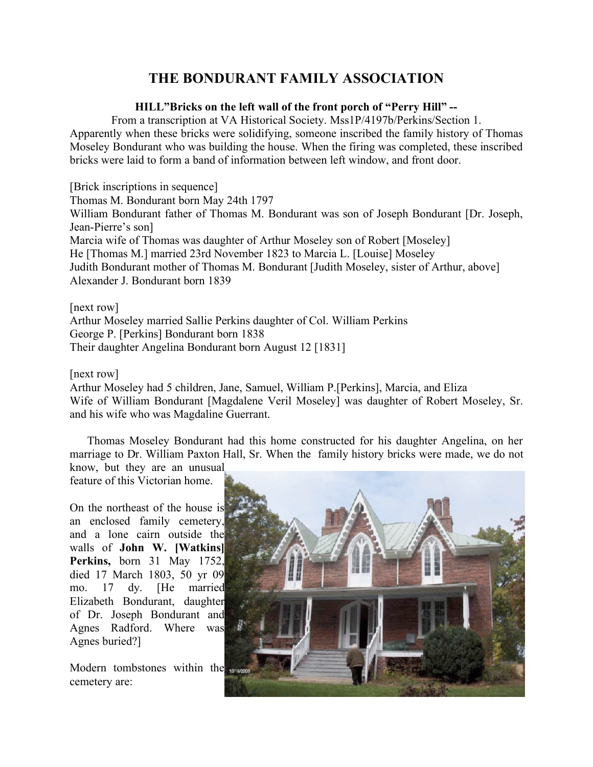## **HILL"Bricks on the left wall of the front porch of "Perry Hill" --**

From a transcription at VA Historical Society. Mss1P/4197b/Perkins/Section 1. Apparently when these bricks were solidifying, someone inscribed the family history of Thomas Moseley Bondurant who was building the house. When the firing was completed, these inscribed bricks were laid to form a band of information between left window, and front door.

[Brick inscriptions in sequence] Thomas M. Bondurant born May 24th 1797 William Bondurant father of Thomas M. Bondurant was son of Joseph Bondurant [Dr. Joseph, Jean-Pierre's son] Marcia wife of Thomas was daughter of Arthur Moseley son of Robert [Moseley] He [Thomas M.] married 23rd November 1823 to Marcia L. [Louise] Moseley Judith Bondurant mother of Thomas M. Bondurant [Judith Moseley, sister of Arthur, above] Alexander J. Bondurant born 1839

[next row] Arthur Moseley married Sallie Perkins daughter of Col. William Perkins George P. [Perkins] Bondurant born 1838 Their daughter Angelina Bondurant born August 12 [1831]

[next row]

Arthur Moseley had 5 children, Jane, Samuel, William P.[Perkins], Marcia, and Eliza Wife of William Bondurant [Magdalene Veril Moseley] was daughter of Robert Moseley, Sr. and his wife who was Magdaline Guerrant.

Thomas Moseley Bondurant had this home constructed for his daughter Angelina, on her marriage to Dr. William Paxton Hall, Sr. When the family history bricks were made, we do not

know, but they are an unusual feature of this Victorian home.

On the northeast of the house is an enclosed family cemetery, and a lone cairn outside the walls of **John W. [Watkins] Perkins,** born 31 May 1752, died 17 March 1803, 50 yr 09 mo. 17 dy. [He married Elizabeth Bondurant, daughter of Dr. Joseph Bondurant and Agnes Radford. Where was Agnes buried?]

Modern tombstones within the places cemetery are:

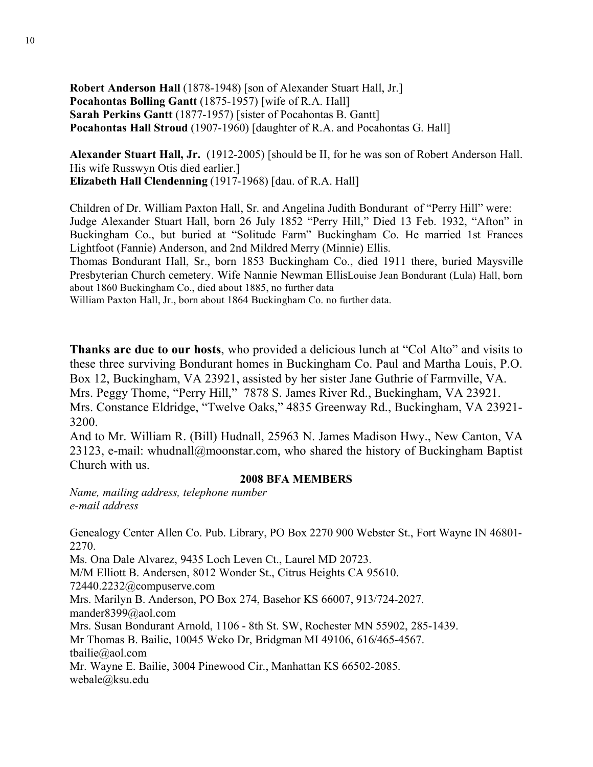**Robert Anderson Hall** (1878-1948) [son of Alexander Stuart Hall, Jr.] **Pocahontas Bolling Gantt** (1875-1957) [wife of R.A. Hall] **Sarah Perkins Gantt** (1877-1957) [sister of Pocahontas B. Gantt] **Pocahontas Hall Stroud** (1907-1960) [daughter of R.A. and Pocahontas G. Hall]

**Alexander Stuart Hall, Jr.** (1912-2005) [should be II, for he was son of Robert Anderson Hall. His wife Russwyn Otis died earlier.] **Elizabeth Hall Clendenning** (1917-1968) [dau. of R.A. Hall]

Children of Dr. William Paxton Hall, Sr. and Angelina Judith Bondurant of "Perry Hill" were: Judge Alexander Stuart Hall, born 26 July 1852 "Perry Hill," Died 13 Feb. 1932, "Afton" in Buckingham Co., but buried at "Solitude Farm" Buckingham Co. He married 1st Frances Lightfoot (Fannie) Anderson, and 2nd Mildred Merry (Minnie) Ellis.

Thomas Bondurant Hall, Sr., born 1853 Buckingham Co., died 1911 there, buried Maysville Presbyterian Church cemetery. Wife Nannie Newman EllisLouise Jean Bondurant (Lula) Hall, born about 1860 Buckingham Co., died about 1885, no further data

William Paxton Hall, Jr., born about 1864 Buckingham Co. no further data.

**Thanks are due to our hosts**, who provided a delicious lunch at "Col Alto" and visits to these three surviving Bondurant homes in Buckingham Co. Paul and Martha Louis, P.O. Box 12, Buckingham, VA 23921, assisted by her sister Jane Guthrie of Farmville, VA. Mrs. Peggy Thome, "Perry Hill," 7878 S. James River Rd., Buckingham, VA 23921. Mrs. Constance Eldridge, "Twelve Oaks," 4835 Greenway Rd., Buckingham, VA 23921- 3200.

And to Mr. William R. (Bill) Hudnall, 25963 N. James Madison Hwy., New Canton, VA 23123, e-mail: whudnall@moonstar.com, who shared the history of Buckingham Baptist Church with us.

### **2008 BFA MEMBERS**

*Name, mailing address, telephone number e-mail address*

Genealogy Center Allen Co. Pub. Library, PO Box 2270 900 Webster St., Fort Wayne IN 46801- 2270.

Ms. Ona Dale Alvarez, 9435 Loch Leven Ct., Laurel MD 20723.

M/M Elliott B. Andersen, 8012 Wonder St., Citrus Heights CA 95610.

72440.2232@compuserve.com

Mrs. Marilyn B. Anderson, PO Box 274, Basehor KS 66007, 913/724-2027.

mander8399@aol.com

Mrs. Susan Bondurant Arnold, 1106 - 8th St. SW, Rochester MN 55902, 285-1439.

Mr Thomas B. Bailie, 10045 Weko Dr, Bridgman MI 49106, 616/465-4567.

tbailie@aol.com

Mr. Wayne E. Bailie, 3004 Pinewood Cir., Manhattan KS 66502-2085. webale@ksu.edu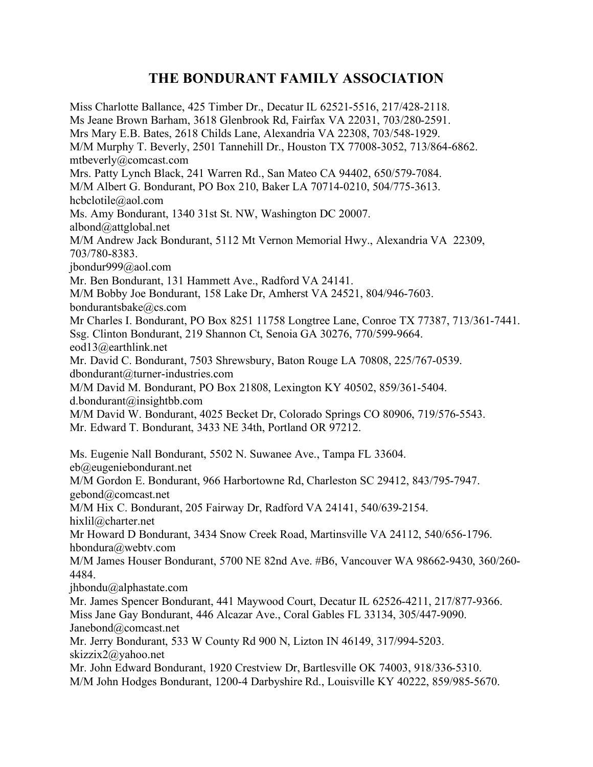Miss Charlotte Ballance, 425 Timber Dr., Decatur IL 62521-5516, 217/428-2118. Ms Jeane Brown Barham, 3618 Glenbrook Rd, Fairfax VA 22031, 703/280-2591. Mrs Mary E.B. Bates, 2618 Childs Lane, Alexandria VA 22308, 703/548-1929. M/M Murphy T. Beverly, 2501 Tannehill Dr., Houston TX 77008-3052, 713/864-6862. mtbeverly@comcast.com Mrs. Patty Lynch Black, 241 Warren Rd., San Mateo CA 94402, 650/579-7084. M/M Albert G. Bondurant, PO Box 210, Baker LA 70714-0210, 504/775-3613. hcbclotile@aol.com Ms. Amy Bondurant, 1340 31st St. NW, Washington DC 20007. albond@attglobal.net M/M Andrew Jack Bondurant, 5112 Mt Vernon Memorial Hwy., Alexandria VA 22309, 703/780-8383. jbondur999@aol.com Mr. Ben Bondurant, 131 Hammett Ave., Radford VA 24141. M/M Bobby Joe Bondurant, 158 Lake Dr, Amherst VA 24521, 804/946-7603. bondurantsbake@cs.com Mr Charles I. Bondurant, PO Box 8251 11758 Longtree Lane, Conroe TX 77387, 713/361-7441. Ssg. Clinton Bondurant, 219 Shannon Ct, Senoia GA 30276, 770/599-9664. eod13@earthlink.net Mr. David C. Bondurant, 7503 Shrewsbury, Baton Rouge LA 70808, 225/767-0539. dbondurant@turner-industries.com M/M David M. Bondurant, PO Box 21808, Lexington KY 40502, 859/361-5404. d.bondurant@insightbb.com M/M David W. Bondurant, 4025 Becket Dr, Colorado Springs CO 80906, 719/576-5543. Mr. Edward T. Bondurant, 3433 NE 34th, Portland OR 97212. Ms. Eugenie Nall Bondurant, 5502 N. Suwanee Ave., Tampa FL 33604. eb@eugeniebondurant.net M/M Gordon E. Bondurant, 966 Harbortowne Rd, Charleston SC 29412, 843/795-7947. gebond@comcast.net M/M Hix C. Bondurant, 205 Fairway Dr, Radford VA 24141, 540/639-2154. hixlil@charter.net Mr Howard D Bondurant, 3434 Snow Creek Road, Martinsville VA 24112, 540/656-1796. hbondura@webtv.com M/M James Houser Bondurant, 5700 NE 82nd Ave. #B6, Vancouver WA 98662-9430, 360/260- 4484. jhbondu@alphastate.com Mr. James Spencer Bondurant, 441 Maywood Court, Decatur IL 62526-4211, 217/877-9366. Miss Jane Gay Bondurant, 446 Alcazar Ave., Coral Gables FL 33134, 305/447-9090. Janebond@comcast.net Mr. Jerry Bondurant, 533 W County Rd 900 N, Lizton IN 46149, 317/994-5203. skizzix2@yahoo.net Mr. John Edward Bondurant, 1920 Crestview Dr, Bartlesville OK 74003, 918/336-5310. M/M John Hodges Bondurant, 1200-4 Darbyshire Rd., Louisville KY 40222, 859/985-5670.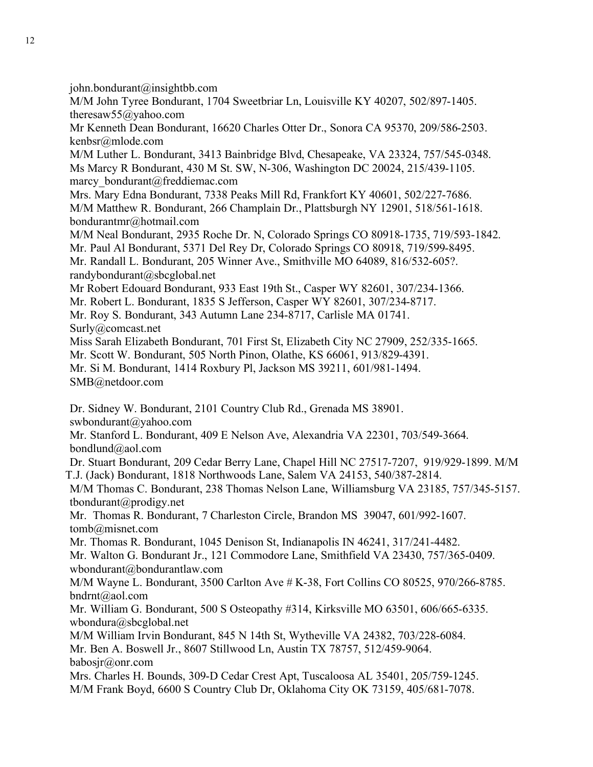$john.bondurant@insightbb.com$ 

M/M John Tyree Bondurant, 1704 Sweetbriar Ln, Louisville KY 40207, 502/897-1405. theresaw55@yahoo.com

Mr Kenneth Dean Bondurant, 16620 Charles Otter Dr., Sonora CA 95370, 209/586-2503. kenbsr@mlode.com

M/M Luther L. Bondurant, 3413 Bainbridge Blvd, Chesapeake, VA 23324, 757/545-0348. Ms Marcy R Bondurant, 430 M St. SW, N-306, Washington DC 20024, 215/439-1105. marcy\_bondurant@freddiemac.com

Mrs. Mary Edna Bondurant, 7338 Peaks Mill Rd, Frankfort KY 40601, 502/227-7686. M/M Matthew R. Bondurant, 266 Champlain Dr., Plattsburgh NY 12901, 518/561-1618. bondurantmr@hotmail.com

M/M Neal Bondurant, 2935 Roche Dr. N, Colorado Springs CO 80918-1735, 719/593-1842. Mr. Paul Al Bondurant, 5371 Del Rey Dr, Colorado Springs CO 80918, 719/599-8495. Mr. Randall L. Bondurant, 205 Winner Ave., Smithville MO 64089, 816/532-605?. randybondurant@sbcglobal.net

Mr Robert Edouard Bondurant, 933 East 19th St., Casper WY 82601, 307/234-1366.

Mr. Robert L. Bondurant, 1835 S Jefferson, Casper WY 82601, 307/234-8717.

Mr. Roy S. Bondurant, 343 Autumn Lane 234-8717, Carlisle MA 01741.

Surly@comcast.net

Miss Sarah Elizabeth Bondurant, 701 First St, Elizabeth City NC 27909, 252/335-1665.

Mr. Scott W. Bondurant, 505 North Pinon, Olathe, KS 66061, 913/829-4391.

Mr. Si M. Bondurant, 1414 Roxbury Pl, Jackson MS 39211, 601/981-1494.

SMB@netdoor.com

Dr. Sidney W. Bondurant, 2101 Country Club Rd., Grenada MS 38901.

swbondurant@yahoo.com

Mr. Stanford L. Bondurant, 409 E Nelson Ave, Alexandria VA 22301, 703/549-3664. bondlund@aol.com

Dr. Stuart Bondurant, 209 Cedar Berry Lane, Chapel Hill NC 27517-7207, 919/929-1899. M/M T.J. (Jack) Bondurant, 1818 Northwoods Lane, Salem VA 24153, 540/387-2814.

M/M Thomas C. Bondurant, 238 Thomas Nelson Lane, Williamsburg VA 23185, 757/345-5157. tbondurant@prodigy.net

Mr. Thomas R. Bondurant, 7 Charleston Circle, Brandon MS 39047, 601/992-1607. tomb@misnet.com

Mr. Thomas R. Bondurant, 1045 Denison St, Indianapolis IN 46241, 317/241-4482.

Mr. Walton G. Bondurant Jr., 121 Commodore Lane, Smithfield VA 23430, 757/365-0409. wbondurant@bondurantlaw.com

M/M Wayne L. Bondurant, 3500 Carlton Ave # K-38, Fort Collins CO 80525, 970/266-8785. bndrnt@aol.com

Mr. William G. Bondurant, 500 S Osteopathy #314, Kirksville MO 63501, 606/665-6335. wbondura@sbcglobal.net

M/M William Irvin Bondurant, 845 N 14th St, Wytheville VA 24382, 703/228-6084.

Mr. Ben A. Boswell Jr., 8607 Stillwood Ln, Austin TX 78757, 512/459-9064. babosjr@onr.com

Mrs. Charles H. Bounds, 309-D Cedar Crest Apt, Tuscaloosa AL 35401, 205/759-1245. M/M Frank Boyd, 6600 S Country Club Dr, Oklahoma City OK 73159, 405/681-7078.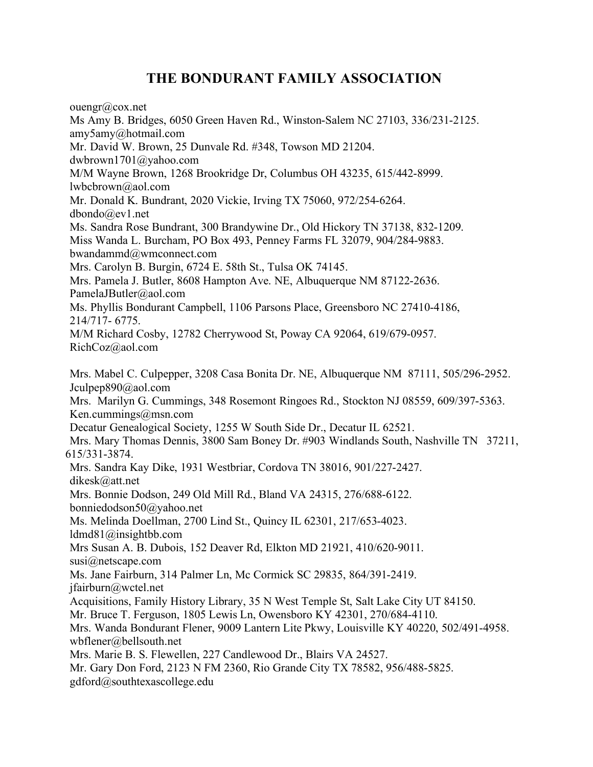ouengr@cox.net

Ms Amy B. Bridges, 6050 Green Haven Rd., Winston-Salem NC 27103, 336/231-2125. amy5amy@hotmail.com Mr. David W. Brown, 25 Dunvale Rd. #348, Towson MD 21204. dwbrown1701@yahoo.com M/M Wayne Brown, 1268 Brookridge Dr, Columbus OH 43235, 615/442-8999. lwbcbrown@aol.com Mr. Donald K. Bundrant, 2020 Vickie, Irving TX 75060, 972/254-6264. dbondo@ev1.net Ms. Sandra Rose Bundrant, 300 Brandywine Dr., Old Hickory TN 37138, 832-1209. Miss Wanda L. Burcham, PO Box 493, Penney Farms FL 32079, 904/284-9883. bwandammd@wmconnect.com Mrs. Carolyn B. Burgin, 6724 E. 58th St., Tulsa OK 74145. Mrs. Pamela J. Butler, 8608 Hampton Ave. NE, Albuquerque NM 87122-2636. PamelaJButler@aol.com Ms. Phyllis Bondurant Campbell, 1106 Parsons Place, Greensboro NC 27410-4186, 214/717- 6775. M/M Richard Cosby, 12782 Cherrywood St, Poway CA 92064, 619/679-0957. RichCoz@aol.com Mrs. Mabel C. Culpepper, 3208 Casa Bonita Dr. NE, Albuquerque NM 87111, 505/296-2952. Jculpep890@aol.com Mrs. Marilyn G. Cummings, 348 Rosemont Ringoes Rd., Stockton NJ 08559, 609/397-5363. Ken.cummings@msn.com Decatur Genealogical Society, 1255 W South Side Dr., Decatur IL 62521. Mrs. Mary Thomas Dennis, 3800 Sam Boney Dr. #903 Windlands South, Nashville TN 37211, 615/331-3874. Mrs. Sandra Kay Dike, 1931 Westbriar, Cordova TN 38016, 901/227-2427. dikesk@att.net Mrs. Bonnie Dodson, 249 Old Mill Rd., Bland VA 24315, 276/688-6122. bonniedodson50@yahoo.net Ms. Melinda Doellman, 2700 Lind St., Quincy IL 62301, 217/653-4023. ldmd81@insightbb.com Mrs Susan A. B. Dubois, 152 Deaver Rd, Elkton MD 21921, 410/620-9011. susi@netscape.com Ms. Jane Fairburn, 314 Palmer Ln, Mc Cormick SC 29835, 864/391-2419. jfairburn@wctel.net Acquisitions, Family History Library, 35 N West Temple St, Salt Lake City UT 84150. Mr. Bruce T. Ferguson, 1805 Lewis Ln, Owensboro KY 42301, 270/684-4110. Mrs. Wanda Bondurant Flener, 9009 Lantern Lite Pkwy, Louisville KY 40220, 502/491-4958. wbflener@bellsouth.net Mrs. Marie B. S. Flewellen, 227 Candlewood Dr., Blairs VA 24527. Mr. Gary Don Ford, 2123 N FM 2360, Rio Grande City TX 78582, 956/488-5825. gdford@southtexascollege.edu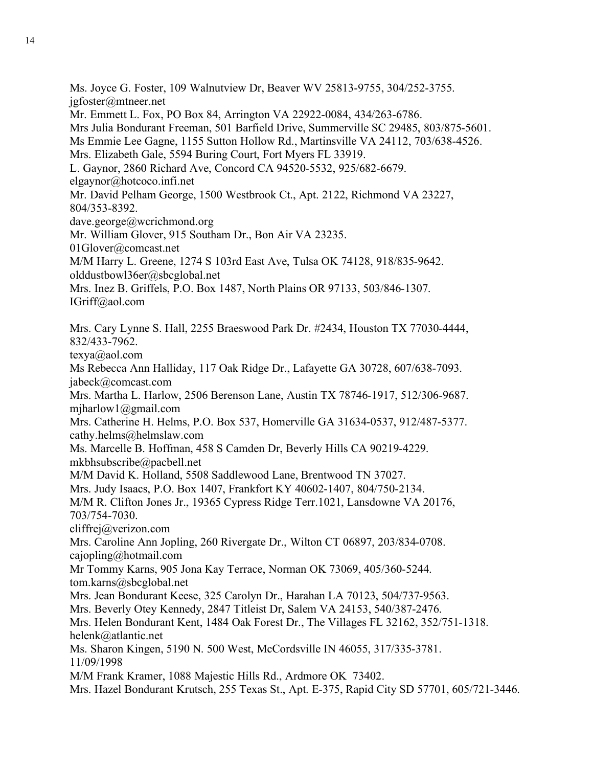Ms. Joyce G. Foster, 109 Walnutview Dr, Beaver WV 25813-9755, 304/252-3755. jgfoster@mtneer.net Mr. Emmett L. Fox, PO Box 84, Arrington VA 22922-0084, 434/263-6786. Mrs Julia Bondurant Freeman, 501 Barfield Drive, Summerville SC 29485, 803/875-5601. Ms Emmie Lee Gagne, 1155 Sutton Hollow Rd., Martinsville VA 24112, 703/638-4526. Mrs. Elizabeth Gale, 5594 Buring Court, Fort Myers FL 33919. L. Gaynor, 2860 Richard Ave, Concord CA 94520-5532, 925/682-6679. elgaynor@hotcoco.infi.net Mr. David Pelham George, 1500 Westbrook Ct., Apt. 2122, Richmond VA 23227, 804/353-8392. dave.george@wcrichmond.org Mr. William Glover, 915 Southam Dr., Bon Air VA 23235. 01Glover@comcast.net M/M Harry L. Greene, 1274 S 103rd East Ave, Tulsa OK 74128, 918/835-9642. olddustbowl36er@sbcglobal.net Mrs. Inez B. Griffels, P.O. Box 1487, North Plains OR 97133, 503/846-1307. IGriff@aol.com Mrs. Cary Lynne S. Hall, 2255 Braeswood Park Dr. #2434, Houston TX 77030-4444, 832/433-7962. texya@aol.com Ms Rebecca Ann Halliday, 117 Oak Ridge Dr., Lafayette GA 30728, 607/638-7093. jabeck@comcast.com Mrs. Martha L. Harlow, 2506 Berenson Lane, Austin TX 78746-1917, 512/306-9687. mjharlow1@gmail.com Mrs. Catherine H. Helms, P.O. Box 537, Homerville GA 31634-0537, 912/487-5377. cathy.helms@helmslaw.com Ms. Marcelle B. Hoffman, 458 S Camden Dr, Beverly Hills CA 90219-4229. mkbhsubscribe@pacbell.net M/M David K. Holland, 5508 Saddlewood Lane, Brentwood TN 37027. Mrs. Judy Isaacs, P.O. Box 1407, Frankfort KY 40602-1407, 804/750-2134. M/M R. Clifton Jones Jr., 19365 Cypress Ridge Terr.1021, Lansdowne VA 20176, 703/754-7030. cliffrej@verizon.com Mrs. Caroline Ann Jopling, 260 Rivergate Dr., Wilton CT 06897, 203/834-0708. cajopling@hotmail.com Mr Tommy Karns, 905 Jona Kay Terrace, Norman OK 73069, 405/360-5244. tom.karns@sbcglobal.net Mrs. Jean Bondurant Keese, 325 Carolyn Dr., Harahan LA 70123, 504/737-9563. Mrs. Beverly Otey Kennedy, 2847 Titleist Dr, Salem VA 24153, 540/387-2476. Mrs. Helen Bondurant Kent, 1484 Oak Forest Dr., The Villages FL 32162, 352/751-1318. helenk@atlantic.net Ms. Sharon Kingen, 5190 N. 500 West, McCordsville IN 46055, 317/335-3781. 11/09/1998 M/M Frank Kramer, 1088 Majestic Hills Rd., Ardmore OK 73402. Mrs. Hazel Bondurant Krutsch, 255 Texas St., Apt. E-375, Rapid City SD 57701, 605/721-3446.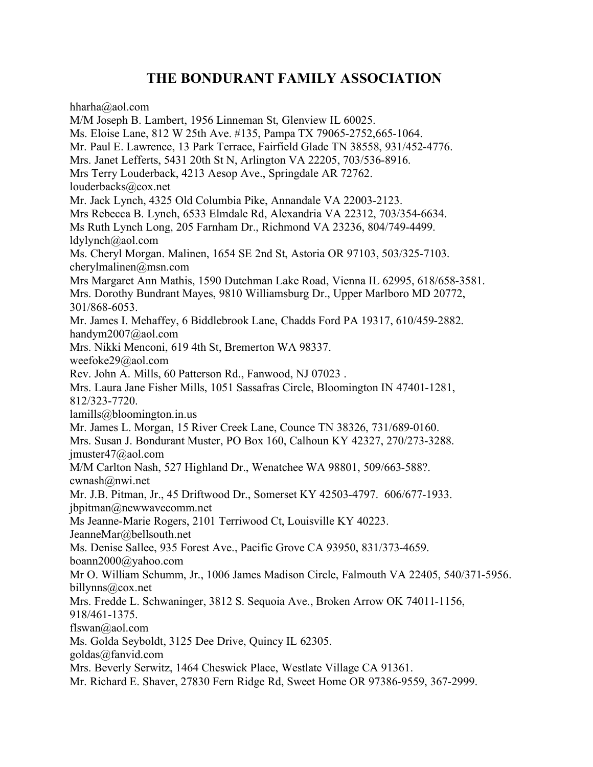hharha@aol.com

M/M Joseph B. Lambert, 1956 Linneman St, Glenview IL 60025. Ms. Eloise Lane, 812 W 25th Ave. #135, Pampa TX 79065-2752,665-1064. Mr. Paul E. Lawrence, 13 Park Terrace, Fairfield Glade TN 38558, 931/452-4776. Mrs. Janet Lefferts, 5431 20th St N, Arlington VA 22205, 703/536-8916. Mrs Terry Louderback, 4213 Aesop Ave., Springdale AR 72762. louderbacks@cox.net Mr. Jack Lynch, 4325 Old Columbia Pike, Annandale VA 22003-2123. Mrs Rebecca B. Lynch, 6533 Elmdale Rd, Alexandria VA 22312, 703/354-6634. Ms Ruth Lynch Long, 205 Farnham Dr., Richmond VA 23236, 804/749-4499. ldylynch@aol.com Ms. Cheryl Morgan. Malinen, 1654 SE 2nd St, Astoria OR 97103, 503/325-7103. cherylmalinen@msn.com Mrs Margaret Ann Mathis, 1590 Dutchman Lake Road, Vienna IL 62995, 618/658-3581. Mrs. Dorothy Bundrant Mayes, 9810 Williamsburg Dr., Upper Marlboro MD 20772, 301/868-6053. Mr. James I. Mehaffey, 6 Biddlebrook Lane, Chadds Ford PA 19317, 610/459-2882. handym2007@aol.com Mrs. Nikki Menconi, 619 4th St, Bremerton WA 98337. weefoke29@aol.com Rev. John A. Mills, 60 Patterson Rd., Fanwood, NJ 07023 . Mrs. Laura Jane Fisher Mills, 1051 Sassafras Circle, Bloomington IN 47401-1281, 812/323-7720. lamills@bloomington.in.us Mr. James L. Morgan, 15 River Creek Lane, Counce TN 38326, 731/689-0160. Mrs. Susan J. Bondurant Muster, PO Box 160, Calhoun KY 42327, 270/273-3288. jmuster47@aol.com M/M Carlton Nash, 527 Highland Dr., Wenatchee WA 98801, 509/663-588?. cwnash@nwi.net Mr. J.B. Pitman, Jr., 45 Driftwood Dr., Somerset KY 42503-4797. 606/677-1933. jbpitman@newwavecomm.net Ms Jeanne-Marie Rogers, 2101 Terriwood Ct, Louisville KY 40223. JeanneMar@bellsouth.net Ms. Denise Sallee, 935 Forest Ave., Pacific Grove CA 93950, 831/373-4659. boann2000@yahoo.com Mr O. William Schumm, Jr., 1006 James Madison Circle, Falmouth VA 22405, 540/371-5956. billynns@cox.net Mrs. Fredde L. Schwaninger, 3812 S. Sequoia Ave., Broken Arrow OK 74011-1156, 918/461-1375. flswan@aol.com Ms. Golda Seyboldt, 3125 Dee Drive, Quincy IL 62305. goldas@fanvid.com Mrs. Beverly Serwitz, 1464 Cheswick Place, Westlate Village CA 91361. Mr. Richard E. Shaver, 27830 Fern Ridge Rd, Sweet Home OR 97386-9559, 367-2999.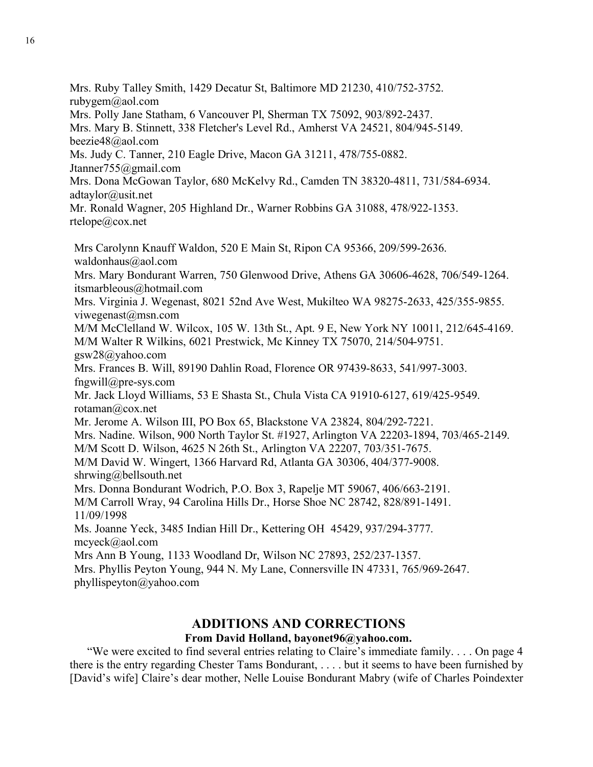rubygem@aol.com Mrs. Polly Jane Statham, 6 Vancouver Pl, Sherman TX 75092, 903/892-2437. Mrs. Mary B. Stinnett, 338 Fletcher's Level Rd., Amherst VA 24521, 804/945-5149. beezie48@aol.com Ms. Judy C. Tanner, 210 Eagle Drive, Macon GA 31211, 478/755-0882. Jtanner755@gmail.com Mrs. Dona McGowan Taylor, 680 McKelvy Rd., Camden TN 38320-4811, 731/584-6934. adtaylor@usit.net Mr. Ronald Wagner, 205 Highland Dr., Warner Robbins GA 31088, 478/922-1353. rtelope@cox.net Mrs Carolynn Knauff Waldon, 520 E Main St, Ripon CA 95366, 209/599-2636. waldonhaus@aol.com Mrs. Mary Bondurant Warren, 750 Glenwood Drive, Athens GA 30606-4628, 706/549-1264. itsmarbleous@hotmail.com Mrs. Virginia J. Wegenast, 8021 52nd Ave West, Mukilteo WA 98275-2633, 425/355-9855. viwegenast@msn.com M/M McClelland W. Wilcox, 105 W. 13th St., Apt. 9 E, New York NY 10011, 212/645-4169. M/M Walter R Wilkins, 6021 Prestwick, Mc Kinney TX 75070, 214/504-9751. gsw28@yahoo.com Mrs. Frances B. Will, 89190 Dahlin Road, Florence OR 97439-8633, 541/997-3003. fngwill@pre-sys.com Mr. Jack Lloyd Williams, 53 E Shasta St., Chula Vista CA 91910-6127, 619/425-9549. rotaman@cox.net Mr. Jerome A. Wilson III, PO Box 65, Blackstone VA 23824, 804/292-7221. Mrs. Nadine. Wilson, 900 North Taylor St. #1927, Arlington VA 22203-1894, 703/465-2149. M/M Scott D. Wilson, 4625 N 26th St., Arlington VA 22207, 703/351-7675. M/M David W. Wingert, 1366 Harvard Rd, Atlanta GA 30306, 404/377-9008. shrwing@bellsouth.net Mrs. Donna Bondurant Wodrich, P.O. Box 3, Rapelje MT 59067, 406/663-2191. M/M Carroll Wray, 94 Carolina Hills Dr., Horse Shoe NC 28742, 828/891-1491. 11/09/1998 Ms. Joanne Yeck, 3485 Indian Hill Dr., Kettering OH 45429, 937/294-3777. mcyeck@aol.com Mrs Ann B Young, 1133 Woodland Dr, Wilson NC 27893, 252/237-1357. Mrs. Phyllis Peyton Young, 944 N. My Lane, Connersville IN 47331, 765/969-2647. phyllispeyton@yahoo.com

Mrs. Ruby Talley Smith, 1429 Decatur St, Baltimore MD 21230, 410/752-3752.

## **ADDITIONS AND CORRECTIONS**

### **From David Holland, bayonet96@yahoo.com.**

"We were excited to find several entries relating to Claire's immediate family. . . . On page 4 there is the entry regarding Chester Tams Bondurant, . . . . but it seems to have been furnished by [David's wife] Claire's dear mother, Nelle Louise Bondurant Mabry (wife of Charles Poindexter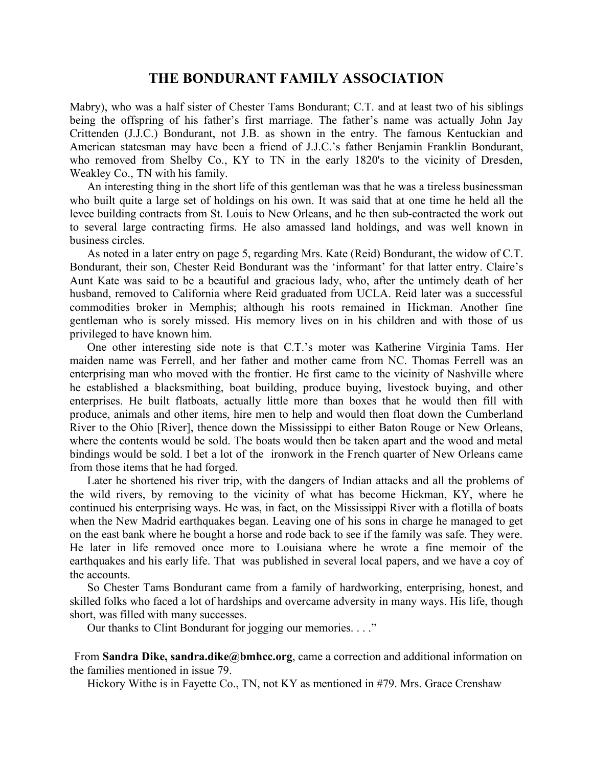Mabry), who was a half sister of Chester Tams Bondurant; C.T. and at least two of his siblings being the offspring of his father's first marriage. The father's name was actually John Jay Crittenden (J.J.C.) Bondurant, not J.B. as shown in the entry. The famous Kentuckian and American statesman may have been a friend of J.J.C.'s father Benjamin Franklin Bondurant, who removed from Shelby Co., KY to TN in the early 1820's to the vicinity of Dresden, Weakley Co., TN with his family.

An interesting thing in the short life of this gentleman was that he was a tireless businessman who built quite a large set of holdings on his own. It was said that at one time he held all the levee building contracts from St. Louis to New Orleans, and he then sub-contracted the work out to several large contracting firms. He also amassed land holdings, and was well known in business circles.

As noted in a later entry on page 5, regarding Mrs. Kate (Reid) Bondurant, the widow of C.T. Bondurant, their son, Chester Reid Bondurant was the 'informant' for that latter entry. Claire's Aunt Kate was said to be a beautiful and gracious lady, who, after the untimely death of her husband, removed to California where Reid graduated from UCLA. Reid later was a successful commodities broker in Memphis; although his roots remained in Hickman. Another fine gentleman who is sorely missed. His memory lives on in his children and with those of us privileged to have known him.

One other interesting side note is that C.T.'s moter was Katherine Virginia Tams. Her maiden name was Ferrell, and her father and mother came from NC. Thomas Ferrell was an enterprising man who moved with the frontier. He first came to the vicinity of Nashville where he established a blacksmithing, boat building, produce buying, livestock buying, and other enterprises. He built flatboats, actually little more than boxes that he would then fill with produce, animals and other items, hire men to help and would then float down the Cumberland River to the Ohio [River], thence down the Mississippi to either Baton Rouge or New Orleans, where the contents would be sold. The boats would then be taken apart and the wood and metal bindings would be sold. I bet a lot of the ironwork in the French quarter of New Orleans came from those items that he had forged.

Later he shortened his river trip, with the dangers of Indian attacks and all the problems of the wild rivers, by removing to the vicinity of what has become Hickman, KY, where he continued his enterprising ways. He was, in fact, on the Mississippi River with a flotilla of boats when the New Madrid earthquakes began. Leaving one of his sons in charge he managed to get on the east bank where he bought a horse and rode back to see if the family was safe. They were. He later in life removed once more to Louisiana where he wrote a fine memoir of the earthquakes and his early life. That was published in several local papers, and we have a coy of the accounts.

So Chester Tams Bondurant came from a family of hardworking, enterprising, honest, and skilled folks who faced a lot of hardships and overcame adversity in many ways. His life, though short, was filled with many successes.

Our thanks to Clint Bondurant for jogging our memories. . . ."

From **Sandra Dike, sandra.dike@bmhcc.org**, came a correction and additional information on the families mentioned in issue 79.

Hickory Withe is in Fayette Co., TN, not KY as mentioned in #79. Mrs. Grace Crenshaw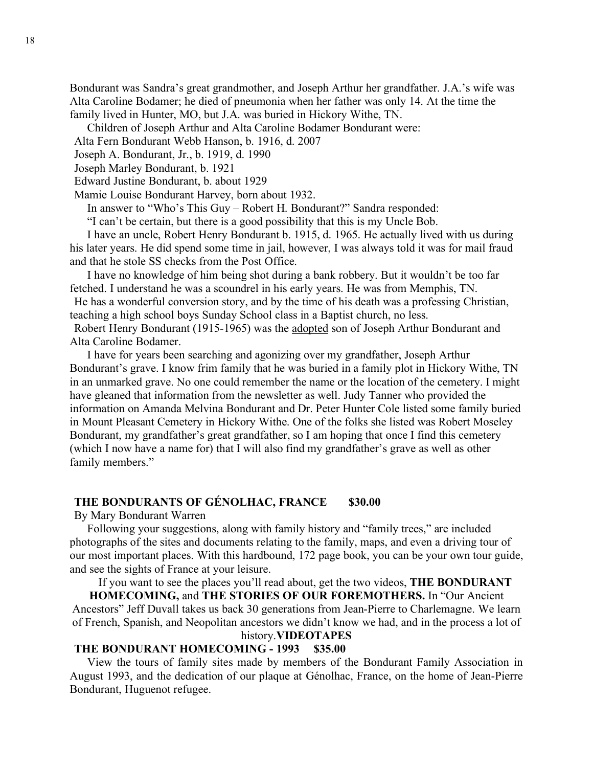Bondurant was Sandra's great grandmother, and Joseph Arthur her grandfather. J.A.'s wife was Alta Caroline Bodamer; he died of pneumonia when her father was only 14. At the time the family lived in Hunter, MO, but J.A. was buried in Hickory Withe, TN.

Children of Joseph Arthur and Alta Caroline Bodamer Bondurant were:

Alta Fern Bondurant Webb Hanson, b. 1916, d. 2007

Joseph A. Bondurant, Jr., b. 1919, d. 1990

Joseph Marley Bondurant, b. 1921

Edward Justine Bondurant, b. about 1929

Mamie Louise Bondurant Harvey, born about 1932.

In answer to "Who's This Guy – Robert H. Bondurant?" Sandra responded:

"I can't be certain, but there is a good possibility that this is my Uncle Bob.

I have an uncle, Robert Henry Bondurant b. 1915, d. 1965. He actually lived with us during his later years. He did spend some time in jail, however, I was always told it was for mail fraud and that he stole SS checks from the Post Office.

I have no knowledge of him being shot during a bank robbery. But it wouldn't be too far fetched. I understand he was a scoundrel in his early years. He was from Memphis, TN.

He has a wonderful conversion story, and by the time of his death was a professing Christian, teaching a high school boys Sunday School class in a Baptist church, no less.

Robert Henry Bondurant (1915-1965) was the adopted son of Joseph Arthur Bondurant and Alta Caroline Bodamer.

I have for years been searching and agonizing over my grandfather, Joseph Arthur Bondurant's grave. I know frim family that he was buried in a family plot in Hickory Withe, TN in an unmarked grave. No one could remember the name or the location of the cemetery. I might have gleaned that information from the newsletter as well. Judy Tanner who provided the information on Amanda Melvina Bondurant and Dr. Peter Hunter Cole listed some family buried in Mount Pleasant Cemetery in Hickory Withe. One of the folks she listed was Robert Moseley Bondurant, my grandfather's great grandfather, so I am hoping that once I find this cemetery (which I now have a name for) that I will also find my grandfather's grave as well as other family members."

### **THE BONDURANTS OF GÉNOLHAC, FRANCE \$30.00**

By Mary Bondurant Warren

Following your suggestions, along with family history and "family trees," are included photographs of the sites and documents relating to the family, maps, and even a driving tour of our most important places. With this hardbound, 172 page book, you can be your own tour guide, and see the sights of France at your leisure.

If you want to see the places you'll read about, get the two videos, **THE BONDURANT** 

**HOMECOMING,** and **THE STORIES OF OUR FOREMOTHERS.** In "Our Ancient Ancestors" Jeff Duvall takes us back 30 generations from Jean-Pierre to Charlemagne. We learn of French, Spanish, and Neopolitan ancestors we didn't know we had, and in the process a lot of history.**VIDEOTAPES**

## **THE BONDURANT HOMECOMING - 1993 \$35.00**

View the tours of family sites made by members of the Bondurant Family Association in August 1993, and the dedication of our plaque at Génolhac, France, on the home of Jean-Pierre Bondurant, Huguenot refugee.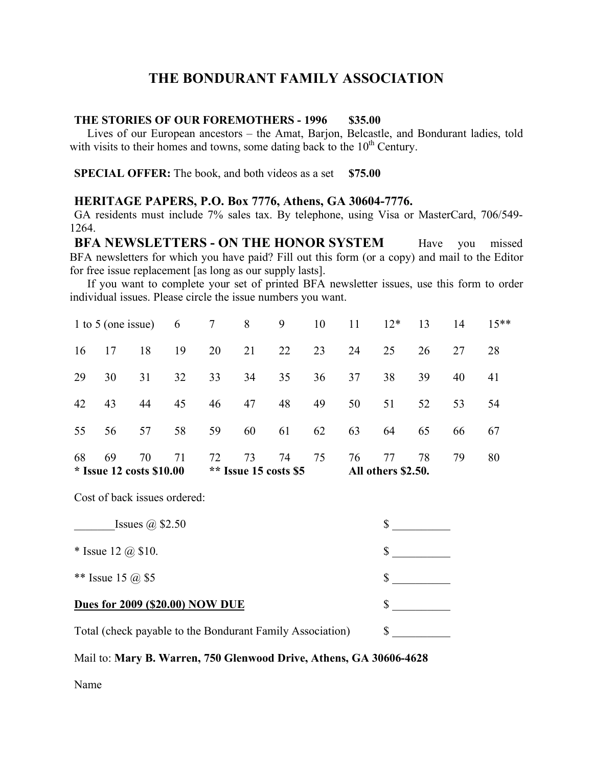#### **THE STORIES OF OUR FOREMOTHERS - 1996 \$35.00**

Lives of our European ancestors – the Amat, Barjon, Belcastle, and Bondurant ladies, told with visits to their homes and towns, some dating back to the  $10<sup>th</sup>$  Century.

**SPECIAL OFFER:** The book, and both videos as a set \$75.00

### **HERITAGE PAPERS, P.O. Box 7776, Athens, GA 30604-7776.**

GA residents must include 7% sales tax. By telephone, using Visa or MasterCard, 706/549- 1264.

**BFA NEWSLETTERS - ON THE HONOR SYSTEM** Have you missed BFA newsletters for which you have paid? Fill out this form (or a copy) and mail to the Editor for free issue replacement [as long as our supply lasts].

If you want to complete your set of printed BFA newsletter issues, use this form to order individual issues. Please circle the issue numbers you want.

| $*$ Issue 12 costs \$10.00 |    |    |                 | ** Issue 15 costs $$5$ |    |    |    | All others \$2.50. |    |    |        |    |
|----------------------------|----|----|-----------------|------------------------|----|----|----|--------------------|----|----|--------|----|
| 68                         | 69 | 70 | 71              | 72                     | 73 | 74 | 75 | 76                 | 77 | 78 | 79     | 80 |
| 55                         | 56 | 57 | 58              | 59                     | 60 | 61 | 62 | 63                 | 64 | 65 | 66     | 67 |
| 42                         | 43 | 44 | 45              | 46                     | 47 | 48 | 49 | 50                 | 51 | 52 | 53     | 54 |
| 29                         | 30 | 31 | 32              | 33                     | 34 | 35 | 36 | 37                 | 38 | 39 | 40     | 41 |
| 16                         | 17 | 18 | 19              | 20                     | 21 | 22 | 23 | 24                 | 25 | 26 | 27     | 28 |
| 1 to 5 (one issue) 6       |    |    | $7\overline{ }$ | 8                      | 9  | 10 | 11 | $12*$              | 13 | 14 | $15**$ |    |

Cost of back issues ordered:

| Issues $(a)$ \$2.50                                       |  |
|-----------------------------------------------------------|--|
| * Issue 12 $(a)$ \$10.                                    |  |
| ** Issue 15 $\omega$ \$5                                  |  |
| <b>Dues for 2009 (\$20.00) NOW DUE</b>                    |  |
| Total (check payable to the Bondurant Family Association) |  |

#### Mail to: **Mary B. Warren, 750 Glenwood Drive, Athens, GA 30606-4628**

Name